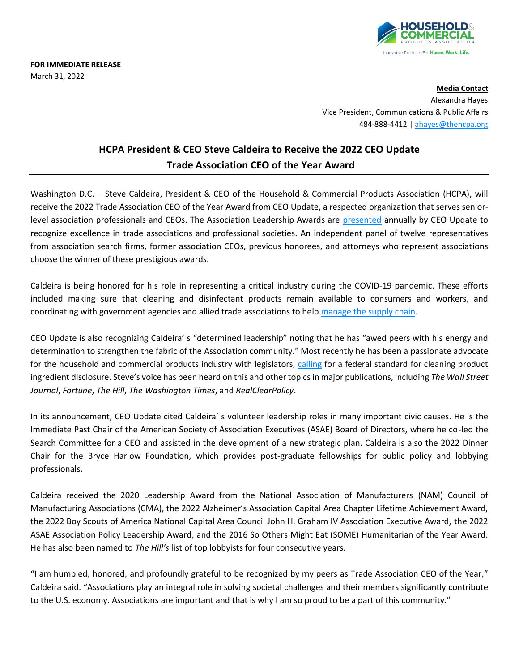

**FOR IMMEDIATE RELEASE** March 31, 2022

> **Media Contact** Alexandra Hayes Vice President, Communications & Public Affairs 484-888-4412 [| ahayes@thehcpa.org](mailto:ahayes@thehcpa.org)

## **HCPA President & CEO Steve Caldeira to Receive the 2022 CEO Update Trade Association CEO of the Year Award**

Washington D.C. – Steve Caldeira, President & CEO of the Household & Commercial Products Association (HCPA), will receive the 2022 Trade Association CEO of the Year Award from CEO Update, a respected organization that serves seniorlevel association professionals and CEOs. The Association Leadership Awards are [presented](https://ceoupdate.com/2022_association_leadership_awards_honorees/?mc_cid=26b89fe068&mc_eid=fbe088ef2a) annually by CEO Update to recognize excellence in trade associations and professional societies. An independent panel of twelve representatives from association search firms, former association CEOs, previous honorees, and attorneys who represent associations choose the winner of these prestigious awards.

Caldeira is being honored for his role in representing a critical industry during the COVID-19 pandemic. These efforts included making sure that cleaning and disinfectant products remain available to consumers and workers, and coordinating with government agencies and allied trade associations to help [manage the supply chain.](https://www.realclearpolicy.com/articles/2022/02/25/the_industry_that_kept_supply_chains_open_818596.html)

CEO Update is also recognizing Caldeira' s "determined leadership" noting that he has "awed peers with his energy and determination to strengthen the fabric of the Association community." Most recently he has been a passionate advocate for the household and commercial products industry with legislators, [calling](https://www.washingtontimes.com/news/2021/sep/13/ingredient-labels-consumer-products-need-national-/) for a federal standard for cleaning product ingredient disclosure. Steve's voice has been heard on this and other topicsin major publications, including *The Wall Street Journal*, *Fortune*, *The Hill*, *The Washington Times*, and *RealClearPolicy*.

In its announcement, CEO Update cited Caldeira' s volunteer leadership roles in many important civic causes. He is the Immediate Past Chair of the American Society of Association Executives (ASAE) Board of Directors, where he co-led the Search Committee for a CEO and assisted in the development of a new strategic plan. Caldeira is also the 2022 Dinner Chair for the Bryce Harlow Foundation, which provides post-graduate fellowships for public policy and lobbying professionals.

Caldeira received the 2020 Leadership Award from the National Association of Manufacturers (NAM) Council of Manufacturing Associations (CMA), the 2022 Alzheimer's Association Capital Area Chapter Lifetime Achievement Award, the 2022 Boy Scouts of America National Capital Area Council John H. Graham IV Association Executive Award, the 2022 ASAE Association Policy Leadership Award, and the 2016 So Others Might Eat (SOME) Humanitarian of the Year Award. He has also been named to *The Hill's* list of top lobbyists for four consecutive years.

"I am humbled, honored, and profoundly grateful to be recognized by my peers as Trade Association CEO of the Year," Caldeira said. "Associations play an integral role in solving societal challenges and their members significantly contribute to the U.S. economy. Associations are important and that is why I am so proud to be a part of this community."